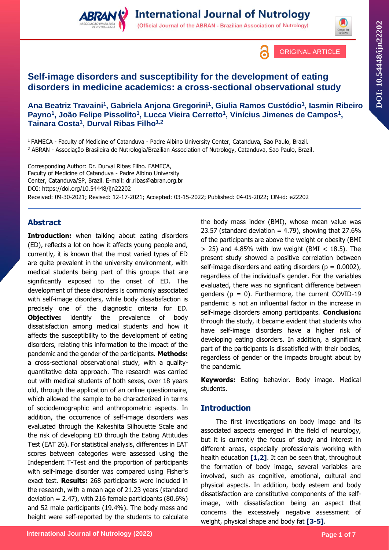



ORIGINAL ARTICLE

## **Self-image disorders and susceptibility for the development of eating disorders in medicine academics: a cross-sectional observational study**

**Ana Beatriz Travaini<sup>1</sup> , Gabriela Anjona Gregorini<sup>1</sup> , Giulia Ramos Custódio<sup>1</sup> , Iasmin Ribeiro Payno<sup>1</sup> , João Felipe Pissolito<sup>1</sup> , Lucca Vieira Cerretto<sup>1</sup> , Vinícius Jimenes de Campos<sup>1</sup> , Tainara Costa<sup>1</sup> , Durval Ribas Filho1,2**

<sup>1</sup>FAMECA - Faculty of Medicine of Catanduva - Padre Albino University Center, Catanduva, Sao Paulo, Brazil. <sup>2</sup> ABRAN - Associação Brasileira de Nutrologia/Brazilian Association of Nutrology, Catanduva, Sao Paulo, Brazil.

Corresponding Author: Dr. Durval Ribas Filho. FAMECA, Faculty of Medicine of Catanduva - Padre Albino University Center, Catanduva/SP, Brazil. E-mail: dr.ribas@abran.org.br DOI:<https://doi.org/10.54448/ijn22202> Received: 09-30-2021; Revised: 12-17-2021; Accepted: 03-15-2022; Published: 04-05-2022; IJN-id: e22202

### **Abstract**

**Introduction:** when talking about eating disorders (ED), reflects a lot on how it affects young people and, currently, it is known that the most varied types of ED are quite prevalent in the university environment, with medical students being part of this groups that are significantly exposed to the onset of ED. The development of these disorders is commonly associated with self-image disorders, while body dissatisfaction is precisely one of the diagnostic criteria for ED. **Objective:** identify the prevalence of body dissatisfaction among medical students and how it affects the susceptibility to the development of eating disorders, relating this information to the impact of the pandemic and the gender of the participants. **Methods:** a cross-sectional observational study, with a qualityquantitative data approach. The research was carried out with medical students of both sexes, over 18 years old, through the application of an online questionnaire, which allowed the sample to be characterized in terms of sociodemographic and anthropometric aspects. In addition, the occurrence of self-image disorders was evaluated through the Kakeshita Silhouette Scale and the risk of developing ED through the Eating Attitudes Test (EAT 26). For statistical analysis, differences in EAT scores between categories were assessed using the Independent T-Test and the proportion of participants with self-image disorder was compared using Fisher's exact test. **Results:** 268 participants were included in the research, with a mean age of 21.23 years (standard deviation =  $2.47$ ), with 216 female participants (80.6%) and 52 male participants (19.4%). The body mass and height were self-reported by the students to calculate

the body mass index (BMI), whose mean value was 23.57 (standard deviation  $= 4.79$ ), showing that 27.6% of the participants are above the weight or obesity (BMI  $>$  25) and 4.85% with low weight (BMI  $<$  18.5). The present study showed a positive correlation between self-image disorders and eating disorders ( $p = 0.0002$ ), regardless of the individual's gender. For the variables evaluated, there was no significant difference between genders ( $p = 0$ ). Furthermore, the current COVID-19 pandemic is not an influential factor in the increase in self-image disorders among participants. **Conclusion:**  through the study, it became evident that students who have self-image disorders have a higher risk of developing eating disorders. In addition, a significant part of the participants is dissatisfied with their bodies, regardless of gender or the impacts brought about by the pandemic.

**Keywords:** Eating behavior. Body image. Medical students.

### **Introduction**

The first investigations on body image and its associated aspects emerged in the field of neurology, but it is currently the focus of study and interest in different areas, especially professionals working with health education **[1,2]**. It can be seen that, throughout the formation of body image, several variables are involved, such as cognitive, emotional, cultural and physical aspects. In addition, body esteem and body dissatisfaction are constitutive components of the selfimage, with dissatisfaction being an aspect that concerns the excessively negative assessment of weight, physical shape and body fat **[3-5]**.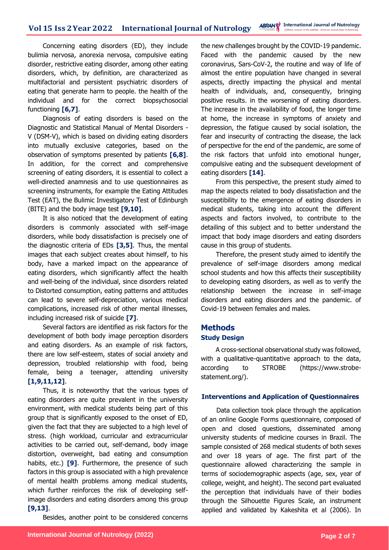Concerning eating disorders (ED), they include bulimia nervosa, anorexia nervosa, compulsive eating disorder, restrictive eating disorder, among other eating disorders, which, by definition, are characterized as multifactorial and persistent psychiatric disorders of eating that generate harm to people. the health of the individual and for the correct biopsychosocial functioning **[6,7]**.

Diagnosis of eating disorders is based on the Diagnostic and Statistical Manual of Mental Disorders - V (DSM-V), which is based on dividing eating disorders into mutually exclusive categories, based on the observation of symptoms presented by patients **[6,8]**. In addition, for the correct and comprehensive screening of eating disorders, it is essential to collect a well-directed anamnesis and to use questionnaires as screening instruments, for example the Eating Attitudes Test (EAT), the Bulimic Investigatory Test of Edinburgh (BITE) and the body image test **[9,10]**.

It is also noticed that the development of eating disorders is commonly associated with self-image disorders, while body dissatisfaction is precisely one of the diagnostic criteria of EDs **[3,5]**. Thus, the mental images that each subject creates about himself, to his body, have a marked impact on the appearance of eating disorders, which significantly affect the health and well-being of the individual, since disorders related to Distorted consumption, eating patterns and attitudes can lead to severe self-depreciation, various medical complications, increased risk of other mental illnesses, including increased risk of suicide **[7]**.

Several factors are identified as risk factors for the development of both body image perception disorders and eating disorders. As an example of risk factors, there are low self-esteem, states of social anxiety and depression, troubled relationship with food, being female, being a teenager, attending university **[1,9,11,12]**.

Thus, it is noteworthy that the various types of eating disorders are quite prevalent in the university environment, with medical students being part of this group that is significantly exposed to the onset of ED, given the fact that they are subjected to a high level of stress. (high workload, curricular and extracurricular activities to be carried out, self-demand, body image distortion, overweight, bad eating and consumption habits, etc.) **[9]**. Furthermore, the presence of such factors in this group is associated with a high prevalence of mental health problems among medical students, which further reinforces the risk of developing selfimage disorders and eating disorders among this group **[9,13]**.

Besides, another point to be considered concerns

the new challenges brought by the COVID-19 pandemic. Faced with the pandemic caused by the new coronavirus, Sars-CoV-2, the routine and way of life of almost the entire population have changed in several aspects, directly impacting the physical and mental health of individuals, and, consequently, bringing positive results. in the worsening of eating disorders. The increase in the availability of food, the longer time at home, the increase in symptoms of anxiety and depression, the fatigue caused by social isolation, the fear and insecurity of contracting the disease, the lack of perspective for the end of the pandemic, are some of the risk factors that unfold into emotional hunger, compulsive eating and the subsequent development of eating disorders **[14]**.

From this perspective, the present study aimed to map the aspects related to body dissatisfaction and the susceptibility to the emergence of eating disorders in medical students, taking into account the different aspects and factors involved, to contribute to the detailing of this subject and to better understand the impact that body image disorders and eating disorders cause in this group of students.

Therefore, the present study aimed to identify the prevalence of self-image disorders among medical school students and how this affects their susceptibility to developing eating disorders, as well as to verify the relationship between the increase in self-image disorders and eating disorders and the pandemic. of Covid-19 between females and males.

# **Methods**

### **Study Design**

A cross-sectional observational study was followed, with a qualitative-quantitative approach to the data, according to STROBE (https://www.strobestatement.org/).

### **Interventions and Application of Questionnaires**

Data collection took place through the application of an online Google Forms questionnaire, composed of open and closed questions, disseminated among university students of medicine courses in Brazil. The sample consisted of 268 medical students of both sexes and over 18 years of age. The first part of the questionnaire allowed characterizing the sample in terms of sociodemographic aspects (age, sex, year of college, weight, and height). The second part evaluated the perception that individuals have of their bodies through the Silhouette Figures Scale, an instrument applied and validated by Kakeshita et al (2006). In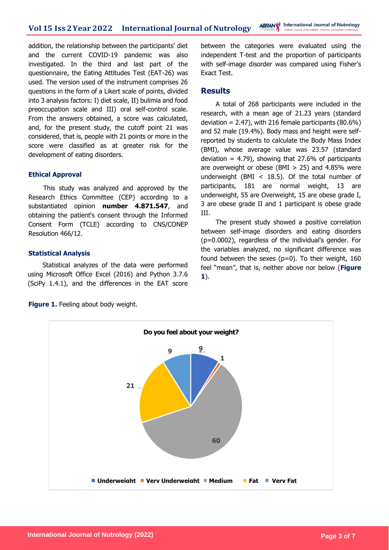addition, the relationship between the participants' diet and the current COVID-19 pandemic was also investigated. In the third and last part of the questionnaire, the Eating Attitudes Test (EAT-26) was used. The version used of the instrument comprises 26 questions in the form of a Likert scale of points, divided into 3 analysis factors: I) diet scale, II) bulimia and food preoccupation scale and III) oral self-control scale. From the answers obtained, a score was calculated, and, for the present study, the cutoff point 21 was considered, that is, people with 21 points or more in the score were classified as at greater risk for the development of eating disorders.

#### **Ethical Approval**

This study was analyzed and approved by the Research Ethics Committee (CEP) according to a substantiated opinion **number 4.871.547**, and obtaining the patient's consent through the Informed Consent Form (TCLE) according to CNS/CONEP Resolution 466/12.

#### **Statistical Analysis**

Statistical analyzes of the data were performed using Microsoft Office Excel (2016) and Python 3.7.6 (SciPy 1.4.1), and the differences in the EAT score between the categories were evaluated using the independent T-test and the proportion of participants with self-image disorder was compared using Fisher's Exact Test.

### **Results**

A total of 268 participants were included in the research, with a mean age of 21.23 years (standard deviation =  $2.47$ ), with 216 female participants (80.6%) and 52 male (19.4%). Body mass and height were selfreported by students to calculate the Body Mass Index (BMI), whose average value was 23.57 (standard deviation = 4.79), showing that 27.6% of participants are overweight or obese (BMI  $> 25$ ) and 4.85% were underweight (BMI  $<$  18.5). Of the total number of participants, 181 are normal weight, 13 are underweight, 55 are Overweight, 15 are obese grade I, 3 are obese grade II and 1 participant is obese grade III.

The present study showed a positive correlation between self-image disorders and eating disorders (p=0.0002), regardless of the individual's gender. For the variables analyzed, no significant difference was found between the sexes  $(p=0)$ . To their weight, 160 feel "mean", that is, neither above nor below (**Figure 1**).



**Figure 1.** Feeling about body weight.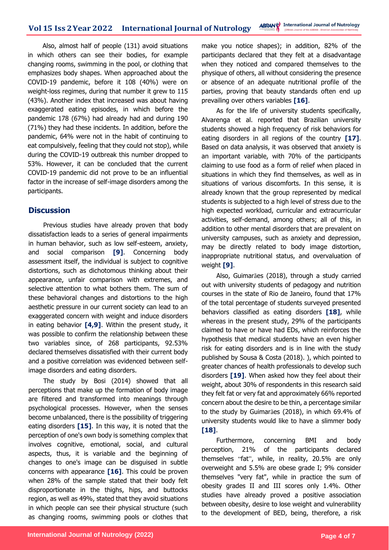Also, almost half of people (131) avoid situations in which others can see their bodies, for example changing rooms, swimming in the pool, or clothing that emphasizes body shapes. When approached about the COVID-19 pandemic, before it 108 (40%) were on weight-loss regimes, during that number it grew to 115 (43%). Another index that increased was about having exaggerated eating episodes, in which before the pandemic 178 (67%) had already had and during 190 (71%) they had these incidents. In addition, before the pandemic, 64% were not in the habit of continuing to eat compulsively, feeling that they could not stop), while during the COVID-19 outbreak this number dropped to 53%. However, it can be concluded that the current COVID-19 pandemic did not prove to be an influential factor in the increase of self-image disorders among the participants.

### **Discussion**

Previous studies have already proven that body dissatisfaction leads to a series of general impairments in human behavior, such as low self-esteem, anxiety, and social comparison **[9]**. Concerning body assessment itself, the individual is subject to cognitive distortions, such as dichotomous thinking about their appearance, unfair comparison with extremes, and selective attention to what bothers them. The sum of these behavioral changes and distortions to the high aesthetic pressure in our current society can lead to an exaggerated concern with weight and induce disorders in eating behavior **[4,9]**. Within the present study, it was possible to confirm the relationship between these two variables since, of 268 participants, 92.53% declared themselves dissatisfied with their current body and a positive correlation was evidenced between selfimage disorders and eating disorders.

The study by Bosi (2014) showed that all perceptions that make up the formation of body image are filtered and transformed into meanings through psychological processes. However, when the senses become unbalanced, there is the possibility of triggering eating disorders **[15]**. In this way, it is noted that the perception of one's own body is something complex that involves cognitive, emotional, social, and cultural aspects, thus, it is variable and the beginning of changes to one's image can be disguised in subtle concerns with appearance **[16]**. This could be proven when 28% of the sample stated that their body felt disproportionate in the thighs, hips, and buttocks region, as well as 49%, stated that they avoid situations in which people can see their physical structure (such as changing rooms, swimming pools or clothes that make you notice shapes); in addition, 82% of the participants declared that they felt at a disadvantage when they noticed and compared themselves to the physique of others, all without considering the presence or absence of an adequate nutritional profile of the parties, proving that beauty standards often end up prevailing over others variables **[16]**.

As for the life of university students specifically, Alvarenga et al. reported that Brazilian university students showed a high frequency of risk behaviors for eating disorders in all regions of the country **[17]**. Based on data analysis, it was observed that anxiety is an important variable, with 70% of the participants claiming to use food as a form of relief when placed in situations in which they find themselves, as well as in situations of various discomforts. In this sense, it is already known that the group represented by medical students is subjected to a high level of stress due to the high expected workload, curricular and extracurricular activities, self-demand, among others; all of this, in addition to other mental disorders that are prevalent on university campuses, such as anxiety and depression, may be directly related to body image distortion, inappropriate nutritional status, and overvaluation of weight **[9]**.

Also, Guimarães (2018), through a study carried out with university students of pedagogy and nutrition courses in the state of Rio de Janeiro, found that 17% of the total percentage of students surveyed presented behaviors classified as eating disorders **[18]**, while whereas in the present study, 29% of the participants claimed to have or have had EDs, which reinforces the hypothesis that medical students have an even higher risk for eating disorders and is in line with the study published by Sousa & Costa (2018). ), which pointed to greater chances of health professionals to develop such disorders **[19]**. When asked how they feel about their weight, about 30% of respondents in this research said they felt fat or very fat and approximately 66% reported concern about the desire to be thin, a percentage similar to the study by Guimarães (2018), in which 69.4% of university students would like to have a slimmer body **[18]**.

Furthermore, concerning BMI and body perception, 21% of the participants declared themselves "fat", while, in reality, 20.5% are only overweight and 5.5% are obese grade I; 9% consider themselves "very fat", while in practice the sum of obesity grades II and III scores only 1.4%. Other studies have already proved a positive association between obesity, desire to lose weight and vulnerability to the development of BED, being, therefore, a risk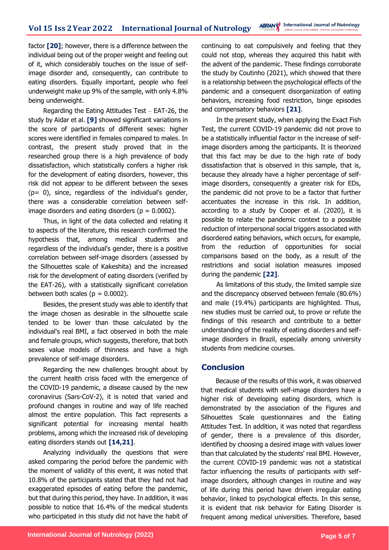factor **[20]**; however, there is a difference between the individual being out of the proper weight and feeling out of it, which considerably touches on the issue of selfimage disorder and, consequently, can contribute to eating disorders. Equally important, people who feel underweight make up 9% of the sample, with only 4.8% being underweight.

Regarding the Eating Attitudes Test – EAT-26, the study by Aidar et al. **[9]** showed significant variations in the score of participants of different sexes: higher scores were identified in females compared to males. In contrast, the present study proved that in the researched group there is a high prevalence of body dissatisfaction, which statistically confers a higher risk for the development of eating disorders, however, this risk did not appear to be different between the sexes (p= 0), since, regardless of the individual's gender, there was a considerable correlation between selfimage disorders and eating disorders ( $p = 0.0002$ ).

Thus, in light of the data collected and relating it to aspects of the literature, this research confirmed the hypothesis that, among medical students and regardless of the individual's gender, there is a positive correlation between self-image disorders (assessed by the Silhouettes scale of Kakeshita) and the increased risk for the development of eating disorders (verified by the EAT-26), with a statistically significant correlation between both scales ( $p = 0.0002$ ).

Besides, the present study was able to identify that the image chosen as desirable in the silhouette scale tended to be lower than those calculated by the individual's real BMI, a fact observed in both the male and female groups, which suggests, therefore, that both sexes value models of thinness and have a high prevalence of self-image disorders.

Regarding the new challenges brought about by the current health crisis faced with the emergence of the COVID-19 pandemic, a disease caused by the new coronavirus (Sars-CoV-2), it is noted that varied and profound changes in routine and way of life reached almost the entire population. This fact represents a significant potential for increasing mental health problems, among which the increased risk of developing eating disorders stands out **[14,21]**.

Analyzing individually the questions that were asked comparing the period before the pandemic with the moment of validity of this event, it was noted that 10.8% of the participants stated that they had not had exaggerated episodes of eating before the pandemic, but that during this period, they have. In addition, it was possible to notice that 16.4% of the medical students who participated in this study did not have the habit of continuing to eat compulsively and feeling that they could not stop, whereas they acquired this habit with the advent of the pandemic. These findings corroborate the study by Coutinho (2021), which showed that there is a relationship between the psychological effects of the pandemic and a consequent disorganization of eating behaviors, increasing food restriction, binge episodes and compensatory behaviors **[21]**.

In the present study, when applying the Exact Fish Test, the current COVID-19 pandemic did not prove to be a statistically influential factor in the increase of selfimage disorders among the participants. It is theorized that this fact may be due to the high rate of body dissatisfaction that is observed in this sample, that is, because they already have a higher percentage of selfimage disorders, consequently a greater risk for EDs, the pandemic did not prove to be a factor that further accentuates the increase in this risk. In addition, according to a study by Cooper et al. (2020), it is possible to relate the pandemic context to a possible reduction of interpersonal social triggers associated with disordered eating behaviors, which occurs, for example, from the reduction of opportunities for social comparisons based on the body, as a result of the restrictions and social isolation measures imposed during the pandemic **[22]**.

As limitations of this study, the limited sample size and the discrepancy observed between female (80.6%) and male (19.4%) participants are highlighted. Thus, new studies must be carried out, to prove or refute the findings of this research and contribute to a better understanding of the reality of eating disorders and selfimage disorders in Brazil, especially among university students from medicine courses.

### **Conclusion**

Because of the results of this work, it was observed that medical students with self-image disorders have a higher risk of developing eating disorders, which is demonstrated by the association of the Figures and Silhouettes Scale questionnaires and the Eating Attitudes Test. In addition, it was noted that regardless of gender, there is a prevalence of this disorder, identified by choosing a desired image with values lower than that calculated by the students' real BMI. However, the current COVID-19 pandemic was not a statistical factor influencing the results of participants with selfimage disorders, although changes in routine and way of life during this period have driven irregular eating behavior, linked to psychological effects. In this sense, it is evident that risk behavior for Eating Disorder is frequent among medical universities. Therefore, based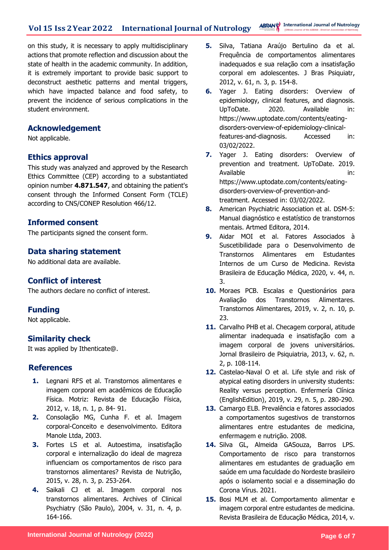on this study, it is necessary to apply multidisciplinary actions that promote reflection and discussion about the state of health in the academic community. In addition, it is extremely important to provide basic support to deconstruct aesthetic patterns and mental triggers, which have impacted balance and food safety, to prevent the incidence of serious complications in the student environment.

### **Acknowledgement**

Not applicable.

### **Ethics approval**

This study was analyzed and approved by the Research Ethics Committee (CEP) according to a substantiated opinion number **4.871.547**, and obtaining the patient's consent through the Informed Consent Form (TCLE) according to CNS/CONEP Resolution 466/12.

### **Informed consent**

The participants signed the consent form.

### **Data sharing statement**

No additional data are available.

### **Conflict of interest**

The authors declare no conflict of interest.

#### **Funding**

Not applicable.

### **Similarity check**

It was applied by Ithenticate@.

### **References**

- **1.** Legnani RFS et al. Transtornos alimentares e imagem corporal em acadêmicos de Educação Física. Motriz: Revista de Educação Física, 2012, v. 18, n. 1, p. 84- 91.
- **2.** Consolação MG, Cunha F. et al. Imagem corporal-Conceito e desenvolvimento. Editora Manole Ltda, 2003.
- **3.** Fortes LS et al. Autoestima, insatisfação corporal e internalização do ideal de magreza influenciam os comportamentos de risco para transtornos alimentares? Revista de Nutrição, 2015, v. 28, n. 3, p. 253-264.
- **4.** Saikali CJ et al. Imagem corporal nos transtornos alimentares. Archives of Clinical Psychiatry (São Paulo), 2004, v. 31, n. 4, p. 164-166.
- **5.** Silva, Tatiana Araújo Bertulino da et al. Frequência de comportamentos alimentares inadequados e sua relação com a insatisfação corporal em adolescentes. J Bras Psiquiatr, 2012, v. 61, n. 3, p. 154-8.
- **6.** Yager J. Eating disorders: Overview of epidemiology, clinical features, and diagnosis. UpToDate. 2020. Available in: https://www.uptodate.com/contents/eatingdisorders-overview-of-epidemiology-clinicalfeatures-and-diagnosis. Accessed in: 03/02/2022.
- **7.** Yager J. Eating disorders: Overview of prevention and treatment. UpToDate. 2019. Available in: in: https://www.uptodate.com/contents/eatingdisorders-overview-of-prevention-andtreatment. Accessed in: 03/02/2022.
- **8.** American Psychiatric Association et al. DSM-5: Manual diagnóstico e estatístico de transtornos mentais. Artmed Editora, 2014.
- **9.** Aidar MOI et al. Fatores Associados à Suscetibilidade para o Desenvolvimento de Transtornos Alimentares em Estudantes Internos de um Curso de Medicina. Revista Brasileira de Educação Médica, 2020, v. 44, n. 3.
- **10.** Moraes PCB. Escalas e Questionários para Avaliação dos Transtornos Alimentares. Transtornos Alimentares, 2019, v. 2, n. 10, p. 23.
- 11. Carvalho PHB et al. Checagem corporal, atitude alimentar inadequada e insatisfação com a imagem corporal de jovens universitários. Jornal Brasileiro de Psiquiatria, 2013, v. 62, n. 2, p. 108-114.
- **12.** Castelao-Naval O et al. Life style and risk of atypical eating disorders in university students: Reality versus perception. Enfermería Clínica (EnglishEdition), 2019, v. 29, n. 5, p. 280-290.
- **13.** Camargo ELB. Prevalência e fatores associados a comportamentos sugestivos de transtornos alimentares entre estudantes de medicina, enfermagem e nutrição. 2008.
- **14.** Silva GL, Almeida GASouza, Barros LPS. Comportamento de risco para transtornos alimentares em estudantes de graduação em saúde em uma faculdade do Nordeste brasileiro após o isolamento social e a disseminação do Corona Vírus. 2021.
- **15.** Bosi MLM et al. Comportamento alimentar e imagem corporal entre estudantes de medicina. Revista Brasileira de Educação Médica, 2014, v.